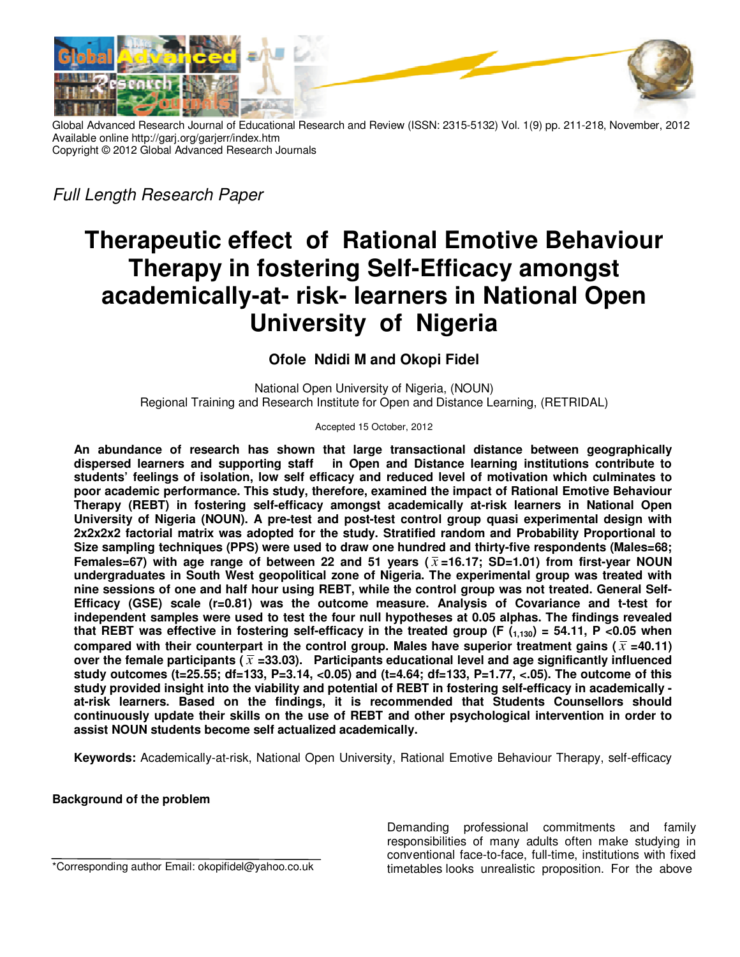

Global Advanced Research Journal of Educational Research and Review (ISSN: 2315-5132) Vol. 1(9) pp. 211-218, November, 2012 Available online http://garj.org/garjerr/index.htm Copyright © 2012 Global Advanced Research Journals

*Full Length Research Paper*

# **Therapeutic effect of Rational Emotive Behaviour Therapy in fostering Self-Efficacy amongst academically-at- risk- learners in National Open University of Nigeria**

## **Ofole Ndidi M and Okopi Fidel**

National Open University of Nigeria, (NOUN) Regional Training and Research Institute for Open and Distance Learning, (RETRIDAL)

Accepted 15 October, 2012

**An abundance of research has shown that large transactional distance between geographically dispersed learners and supporting staff in Open and Distance learning institutions contribute to students' feelings of isolation, low self efficacy and reduced level of motivation which culminates to poor academic performance. This study, therefore, examined the impact of Rational Emotive Behaviour Therapy (REBT) in fostering self-efficacy amongst academically at-risk learners in National Open University of Nigeria (NOUN). A pre-test and post-test control group quasi experimental design with 2x2x2x2 factorial matrix was adopted for the study. Stratified random and Probability Proportional to Size sampling techniques (PPS) were used to draw one hundred and thirty-five respondents (Males=68; Females=67) with age range of between 22 and 51 years (** $\bar{x}$ **=16.17; SD=1.01) from first-year NOUN undergraduates in South West geopolitical zone of Nigeria. The experimental group was treated with nine sessions of one and half hour using REBT, while the control group was not treated. General Self-Efficacy (GSE) scale (r=0.81) was the outcome measure. Analysis of Covariance and t-test for independent samples were used to test the four null hypotheses at 0.05 alphas. The findings revealed that REBT was effective in fostering self-efficacy in the treated group (F (1,130) = 54.11, P <0.05 when**  compared with their counterpart in the control group. Males have superior treatment gains ( $\bar{x}$  =40.11) over the female participants ( $\bar{x}$  =33.03). Participants educational level and age significantly influenced **study outcomes (t=25.55; df=133, P=3.14, <0.05) and (t=4.64; df=133, P=1.77, <.05). The outcome of this study provided insight into the viability and potential of REBT in fostering self-efficacy in academically at-risk learners. Based on the findings, it is recommended that Students Counsellors should continuously update their skills on the use of REBT and other psychological intervention in order to assist NOUN students become self actualized academically.** 

**Keywords:** Academically-at-risk, National Open University, Rational Emotive Behaviour Therapy, self-efficacy

## **Background of the problem**

\*Corresponding author Email: okopifidel@yahoo.co.uk

Demanding professional commitments and family responsibilities of many adults often make studying in conventional face-to-face, full-time, institutions with fixed timetables looks unrealistic proposition. For the above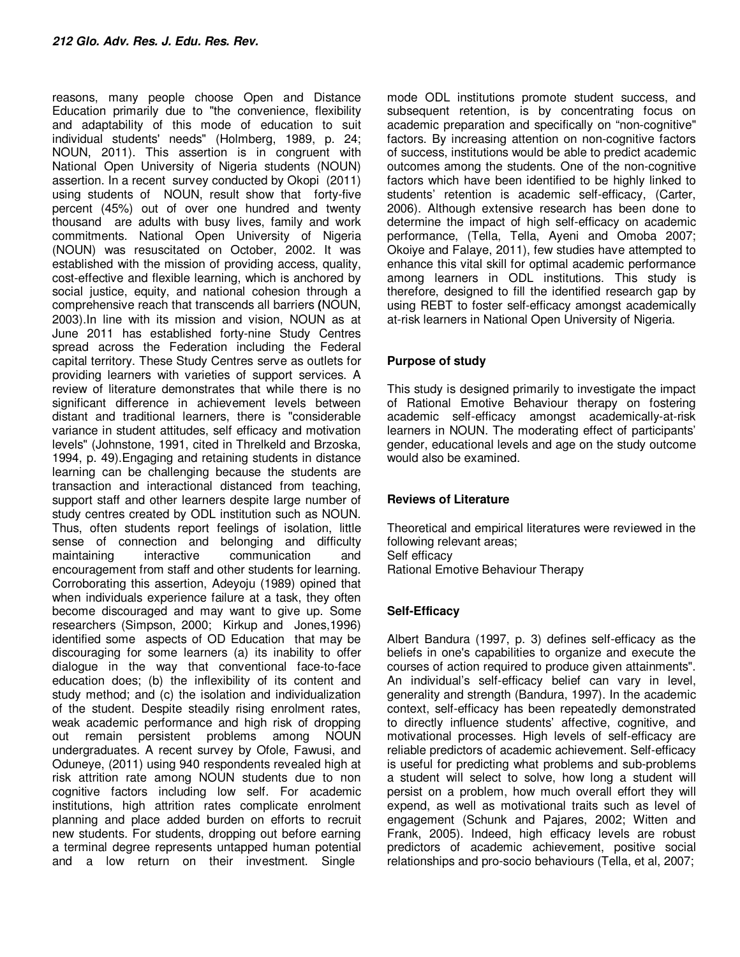reasons, many people choose Open and Distance Education primarily due to "the convenience, flexibility and adaptability of this mode of education to suit individual students' needs" (Holmberg, 1989, p. 24; NOUN, 2011). This assertion is in congruent with National Open University of Nigeria students (NOUN) assertion. In a recent survey conducted by Okopi (2011) using students of NOUN, result show that forty-five percent (45%) out of over one hundred and twenty thousand are adults with busy lives, family and work commitments. National Open University of Nigeria (NOUN) was resuscitated on October, 2002. It was established with the mission of providing access, quality, cost-effective and flexible learning, which is anchored by social justice, equity, and national cohesion through a comprehensive reach that transcends all barriers **(**NOUN, 2003).In line with its mission and vision, NOUN as at June 2011 has established forty-nine Study Centres spread across the Federation including the Federal capital territory. These Study Centres serve as outlets for providing learners with varieties of support services. A review of literature demonstrates that while there is no significant difference in achievement levels between distant and traditional learners, there is "considerable variance in student attitudes, self efficacy and motivation levels" (Johnstone, 1991, cited in Threlkeld and Brzoska, 1994, p. 49).Engaging and retaining students in distance learning can be challenging because the students are transaction and interactional distanced from teaching, support staff and other learners despite large number of study centres created by ODL institution such as NOUN. Thus, often students report feelings of isolation, little sense of connection and belonging and difficulty maintaining interactive communication and encouragement from staff and other students for learning. Corroborating this assertion, Adeyoju (1989) opined that when individuals experience failure at a task, they often become discouraged and may want to give up. Some researchers (Simpson, 2000; Kirkup and Jones,1996) identified some aspects of OD Education that may be discouraging for some learners (a) its inability to offer dialogue in the way that conventional face-to-face education does; (b) the inflexibility of its content and study method; and (c) the isolation and individualization of the student. Despite steadily rising enrolment rates, weak academic performance and high risk of dropping out remain persistent problems among NOUN undergraduates. A recent survey by Ofole, Fawusi, and Oduneye, (2011) using 940 respondents revealed high at risk attrition rate among NOUN students due to non cognitive factors including low self. For academic institutions, high attrition rates complicate enrolment planning and place added burden on efforts to recruit new students. For students, dropping out before earning a terminal degree represents untapped human potential and a low return on their investment. Single

mode ODL institutions promote student success, and subsequent retention, is by concentrating focus on academic preparation and specifically on "non-cognitive" factors. By increasing attention on non-cognitive factors of success, institutions would be able to predict academic outcomes among the students. One of the non-cognitive factors which have been identified to be highly linked to students' retention is academic self-efficacy, (Carter, 2006). Although extensive research has been done to determine the impact of high self-efficacy on academic performance, (Tella, Tella, Ayeni and Omoba 2007; Okoiye and Falaye, 2011), few studies have attempted to enhance this vital skill for optimal academic performance among learners in ODL institutions. This study is therefore, designed to fill the identified research gap by using REBT to foster self-efficacy amongst academically at-risk learners in National Open University of Nigeria.

## **Purpose of study**

This study is designed primarily to investigate the impact of Rational Emotive Behaviour therapy on fostering academic self-efficacy amongst academically-at-risk learners in NOUN. The moderating effect of participants' gender, educational levels and age on the study outcome would also be examined.

## **Reviews of Literature**

Theoretical and empirical literatures were reviewed in the following relevant areas; Self efficacy Rational Emotive Behaviour Therapy

## **Self-Efficacy**

Albert Bandura (1997, p. 3) defines self-efficacy as the beliefs in one's capabilities to organize and execute the courses of action required to produce given attainments". An individual's self-efficacy belief can vary in level, generality and strength (Bandura, 1997). In the academic context, self-efficacy has been repeatedly demonstrated to directly influence students' affective, cognitive, and motivational processes. High levels of self-efficacy are reliable predictors of academic achievement. Self-efficacy is useful for predicting what problems and sub-problems a student will select to solve, how long a student will persist on a problem, how much overall effort they will expend, as well as motivational traits such as level of engagement (Schunk and Pajares, 2002; Witten and Frank, 2005). Indeed, high efficacy levels are robust predictors of academic achievement, positive social relationships and pro-socio behaviours (Tella, et al, 2007;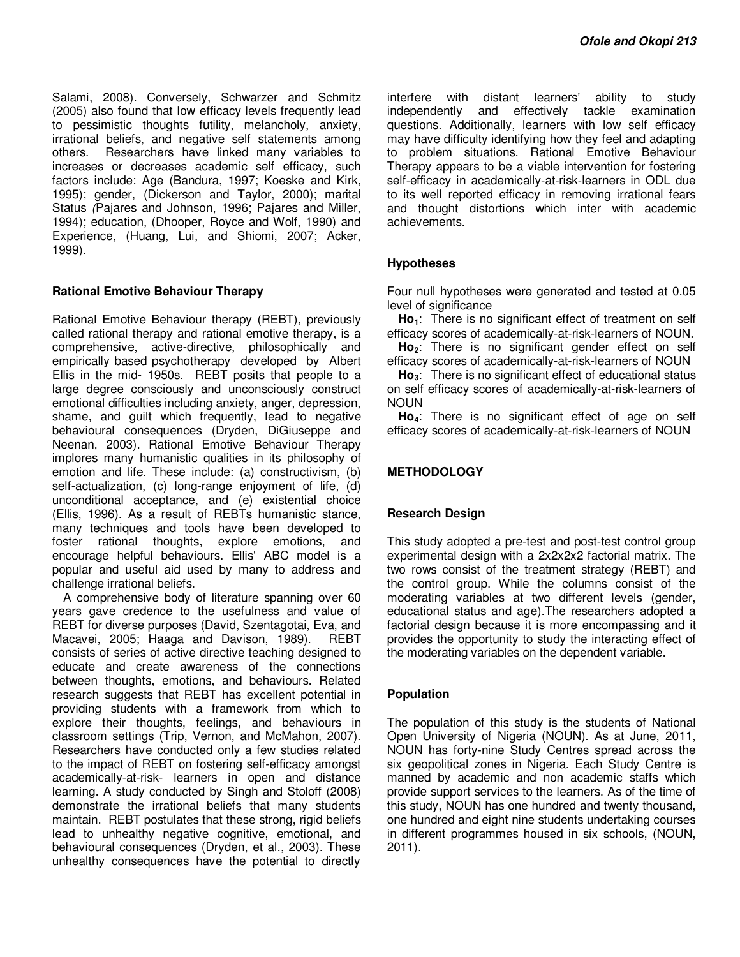Salami, 2008). Conversely, Schwarzer and Schmitz (2005) also found that low efficacy levels frequently lead to pessimistic thoughts futility, melancholy, anxiety, irrational beliefs, and negative self statements among others. Researchers have linked many variables to increases or decreases academic self efficacy, such factors include: Age (Bandura, 1997; Koeske and Kirk, 1995); gender, (Dickerson and Taylor, 2000); marital Status *(*Pajares and Johnson, 1996; Pajares and Miller, 1994); education, (Dhooper, Royce and Wolf, 1990) and Experience, (Huang, Lui, and Shiomi, 2007; Acker, 1999).

#### **Rational Emotive Behaviour Therapy**

Rational Emotive Behaviour therapy (REBT), previously called rational therapy and rational emotive therapy, is a comprehensive, active-directive, philosophically and empirically based psychotherapy developed by Albert Ellis in the mid- 1950s. REBT posits that people to a large degree consciously and unconsciously construct emotional difficulties including anxiety, anger, depression, shame, and guilt which frequently, lead to negative behavioural consequences (Dryden, DiGiuseppe and Neenan, 2003). Rational Emotive Behaviour Therapy implores many humanistic qualities in its philosophy of emotion and life. These include: (a) constructivism, (b) self-actualization, (c) long-range enjoyment of life, (d) unconditional acceptance, and (e) existential choice (Ellis, 1996). As a result of REBTs humanistic stance, many techniques and tools have been developed to foster rational thoughts, explore emotions, and encourage helpful behaviours. Ellis' ABC model is a popular and useful aid used by many to address and challenge irrational beliefs.

A comprehensive body of literature spanning over 60 years gave credence to the usefulness and value of REBT for diverse purposes (David, Szentagotai, Eva, and Macavei, 2005; Haaga and Davison, 1989). REBT consists of series of active directive teaching designed to educate and create awareness of the connections between thoughts, emotions, and behaviours. Related research suggests that REBT has excellent potential in providing students with a framework from which to explore their thoughts, feelings, and behaviours in classroom settings (Trip, Vernon, and McMahon, 2007). Researchers have conducted only a few studies related to the impact of REBT on fostering self-efficacy amongst academically-at-risk- learners in open and distance learning. A study conducted by Singh and Stoloff (2008) demonstrate the irrational beliefs that many students maintain. REBT postulates that these strong, rigid beliefs lead to unhealthy negative cognitive, emotional, and behavioural consequences (Dryden, et al., 2003). These unhealthy consequences have the potential to directly

interfere with distant learners' ability to study independently and effectively tackle examination questions. Additionally, learners with low self efficacy may have difficulty identifying how they feel and adapting to problem situations. Rational Emotive Behaviour Therapy appears to be a viable intervention for fostering self-efficacy in academically-at-risk-learners in ODL due to its well reported efficacy in removing irrational fears and thought distortions which inter with academic achievements.

#### **Hypotheses**

Four null hypotheses were generated and tested at 0.05 level of significance

**Ho1**: There is no significant effect of treatment on self efficacy scores of academically-at-risk-learners of NOUN.

**Ho2**: There is no significant gender effect on self efficacy scores of academically-at-risk-learners of NOUN

**Ho3**: There is no significant effect of educational status on self efficacy scores of academically-at-risk-learners of NOUN

**Ho4**: There is no significant effect of age on self efficacy scores of academically-at-risk-learners of NOUN

#### **METHODOLOGY**

#### **Research Design**

This study adopted a pre-test and post-test control group experimental design with a 2x2x2x2 factorial matrix. The two rows consist of the treatment strategy (REBT) and the control group. While the columns consist of the moderating variables at two different levels (gender, educational status and age).The researchers adopted a factorial design because it is more encompassing and it provides the opportunity to study the interacting effect of the moderating variables on the dependent variable.

#### **Population**

The population of this study is the students of National Open University of Nigeria (NOUN). As at June, 2011, NOUN has forty-nine Study Centres spread across the six geopolitical zones in Nigeria. Each Study Centre is manned by academic and non academic staffs which provide support services to the learners. As of the time of this study, NOUN has one hundred and twenty thousand, one hundred and eight nine students undertaking courses in different programmes housed in six schools, (NOUN, 2011).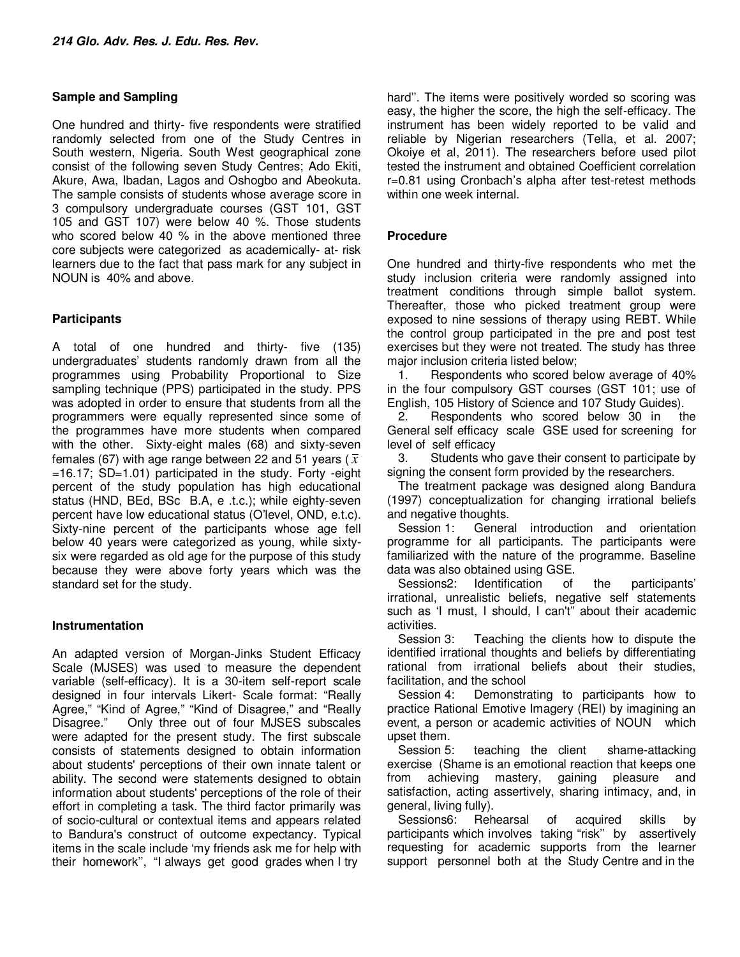#### **Sample and Sampling**

One hundred and thirty- five respondents were stratified randomly selected from one of the Study Centres in South western, Nigeria. South West geographical zone consist of the following seven Study Centres; Ado Ekiti, Akure, Awa, Ibadan, Lagos and Oshogbo and Abeokuta. The sample consists of students whose average score in 3 compulsory undergraduate courses (GST 101, GST 105 and GST 107) were below 40 %. Those students who scored below 40 % in the above mentioned three core subjects were categorized as academically- at- risk learners due to the fact that pass mark for any subject in NOUN is 40% and above.

## **Participants**

A total of one hundred and thirty- five (135) undergraduates' students randomly drawn from all the programmes using Probability Proportional to Size sampling technique (PPS) participated in the study. PPS was adopted in order to ensure that students from all the programmers were equally represented since some of the programmes have more students when compared with the other. Sixty-eight males (68) and sixty-seven females (67) with age range between 22 and 51 years ( $\bar{x}$ ) =16.17; SD=1.01) participated in the study. Forty -eight percent of the study population has high educational status (HND, BEd, BSc B.A, e .t.c.); while eighty-seven percent have low educational status (O'level, OND, e.t.c). Sixty-nine percent of the participants whose age fell below 40 years were categorized as young, while sixtysix were regarded as old age for the purpose of this study because they were above forty years which was the standard set for the study.

## **Instrumentation**

An adapted version of Morgan-Jinks Student Efficacy Scale (MJSES) was used to measure the dependent variable (self-efficacy). It is a 30-item self-report scale designed in four intervals Likert- Scale format: "Really Agree," "Kind of Agree," "Kind of Disagree," and "Really Disagree." Only three out of four MJSES subscales were adapted for the present study. The first subscale consists of statements designed to obtain information about students' perceptions of their own innate talent or ability. The second were statements designed to obtain information about students' perceptions of the role of their effort in completing a task. The third factor primarily was of socio-cultural or contextual items and appears related to Bandura's construct of outcome expectancy. Typical items in the scale include 'my friends ask me for help with their homework'', "I always get good grades when I try

hard''. The items were positively worded so scoring was easy, the higher the score, the high the self-efficacy. The instrument has been widely reported to be valid and reliable by Nigerian researchers (Tella, et al. 2007; Okoiye et al, 2011). The researchers before used pilot tested the instrument and obtained Coefficient correlation r=0.81 using Cronbach's alpha after test-retest methods within one week internal.

#### **Procedure**

One hundred and thirty-five respondents who met the study inclusion criteria were randomly assigned into treatment conditions through simple ballot system. Thereafter, those who picked treatment group were exposed to nine sessions of therapy using REBT. While the control group participated in the pre and post test exercises but they were not treated. The study has three major inclusion criteria listed below;

1. Respondents who scored below average of 40% in the four compulsory GST courses (GST 101; use of English, 105 History of Science and 107 Study Guides).

2. Respondents who scored below 30 in the General self efficacy scale GSE used for screening for level of self efficacy

3. Students who gave their consent to participate by signing the consent form provided by the researchers.

The treatment package was designed along Bandura (1997) conceptualization for changing irrational beliefs and negative thoughts.

Session 1: General introduction and orientation programme for all participants. The participants were familiarized with the nature of the programme. Baseline data was also obtained using GSE.

Sessions2: Identification of the participants' irrational, unrealistic beliefs, negative self statements such as 'I must, I should, I can't" about their academic activities.

Session 3: Teaching the clients how to dispute the identified irrational thoughts and beliefs by differentiating rational from irrational beliefs about their studies, facilitation, and the school

Session 4: Demonstrating to participants how to practice Rational Emotive Imagery (REI) by imagining an event, a person or academic activities of NOUN which upset them.

Session 5: teaching the client shame-attacking exercise (Shame is an emotional reaction that keeps one from achieving mastery, gaining pleasure and satisfaction, acting assertively, sharing intimacy, and, in general, living fully).

Sessions6: Rehearsal of acquired skills by participants which involves taking "risk'' by assertively requesting for academic supports from the learner support personnel both at the Study Centre and in the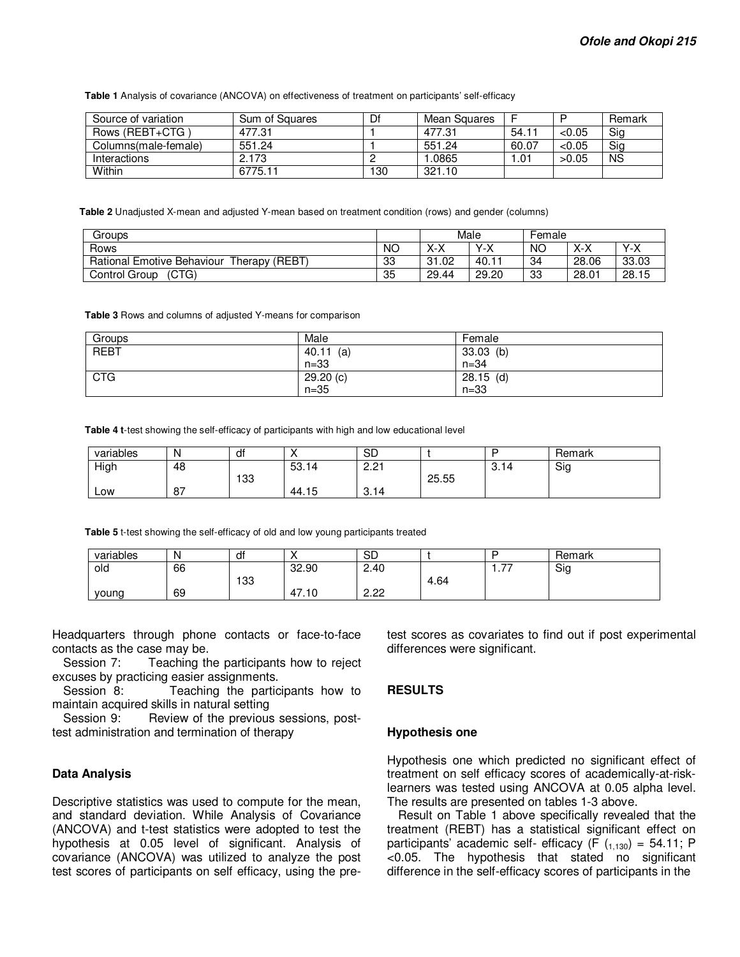**Table 1** Analysis of covariance (ANCOVA) on effectiveness of treatment on participants' self-efficacy

| Source of variation  | Sum of Squares | Df  | Mean Squares |       |        | Remark    |
|----------------------|----------------|-----|--------------|-------|--------|-----------|
| Rows (REBT+CTG)      | 477.31         |     | 477.31       | 54.1  | < 0.05 | Sig       |
| Columns(male-female) | 551.24         |     | 551.24       | 60.07 | < 0.05 | Sig       |
| Interactions         | 2.173          |     | .0865        | .01   | >0.05  | <b>NS</b> |
| Within               | 6775.11        | 130 | 321.10       |       |        |           |

**Table 2** Unadjusted X-mean and adjusted Y-mean based on treatment condition (rows) and gender (columns)

| Groups                                                             |           | Male               |                | Female    |       |       |
|--------------------------------------------------------------------|-----------|--------------------|----------------|-----------|-------|-------|
| Rows                                                               | <b>NO</b> | $\checkmark$<br>ᄉᅐ | $Y-X$          | <b>NC</b> | X-X   | $Y-X$ |
| , (REBT<br><b>Rational Emotive Behaviour</b><br>Therapy $\sqrt{2}$ | 33        | 31.02              | $40.1^{\circ}$ | -34       | 28.06 | 33.03 |
| (CTG)<br>Control Group                                             | 35        | 29.44              | 29.20          | 33        | 28.01 | 28.15 |

**Table 3** Rows and columns of adjusted Y-means for comparison

| Groups      | Male        | Female      |
|-------------|-------------|-------------|
| <b>REBT</b> | 40.11<br>(a | $33.03$ (b) |
|             | $n=33$      | $n = 34$    |
| <b>CTG</b>  | 29.20 (c)   | $28.15$ (d) |
|             | $n=35$      | $n = 33$    |

**Table 4 t**-test showing the self-efficacy of participants with high and low educational level

| variables | N  | df  |       | <b>SD</b>     |       |                                  | Remark |
|-----------|----|-----|-------|---------------|-------|----------------------------------|--------|
| High      | 48 |     | 53.14 | ດ ດ+<br>ے . ے |       | $\overline{\phantom{a}}$<br>3.14 | Sig    |
|           |    | 133 |       |               | 25.55 |                                  |        |
| Low       | 87 |     | 44.15 | 3.14          |       |                                  |        |

**Table 5** t-test showing the self-efficacy of old and low young participants treated

| variables | N  | dt  |       | Ωr<br>שכ        |      |            | Remark |
|-----------|----|-----|-------|-----------------|------|------------|--------|
| old       | 66 |     | 32.90 | 2.40            |      | $- -$<br>. | Sig    |
|           |    | 133 |       |                 | 4.64 |            |        |
| vouna     | 69 |     | 47.10 | ാറ<br>C<br>ے.دے |      |            |        |

Headquarters through phone contacts or face-to-face contacts as the case may be.

Session 7: Teaching the participants how to reject excuses by practicing easier assignments.

Session 8: Teaching the participants how to maintain acquired skills in natural setting

Session 9: Review of the previous sessions, posttest administration and termination of therapy

#### **Data Analysis**

Descriptive statistics was used to compute for the mean, and standard deviation. While Analysis of Covariance (ANCOVA) and t-test statistics were adopted to test the hypothesis at 0.05 level of significant. Analysis of covariance (ANCOVA) was utilized to analyze the post test scores of participants on self efficacy, using the pretest scores as covariates to find out if post experimental differences were significant.

#### **RESULTS**

#### **Hypothesis one**

Hypothesis one which predicted no significant effect of treatment on self efficacy scores of academically-at-risklearners was tested using ANCOVA at 0.05 alpha level. The results are presented on tables 1-3 above.

Result on Table 1 above specifically revealed that the treatment (REBT) has a statistical significant effect on participants' academic self- efficacy (F  $(1,130) = 54.11$ ; P <0.05. The hypothesis that stated no significant difference in the self-efficacy scores of participants in the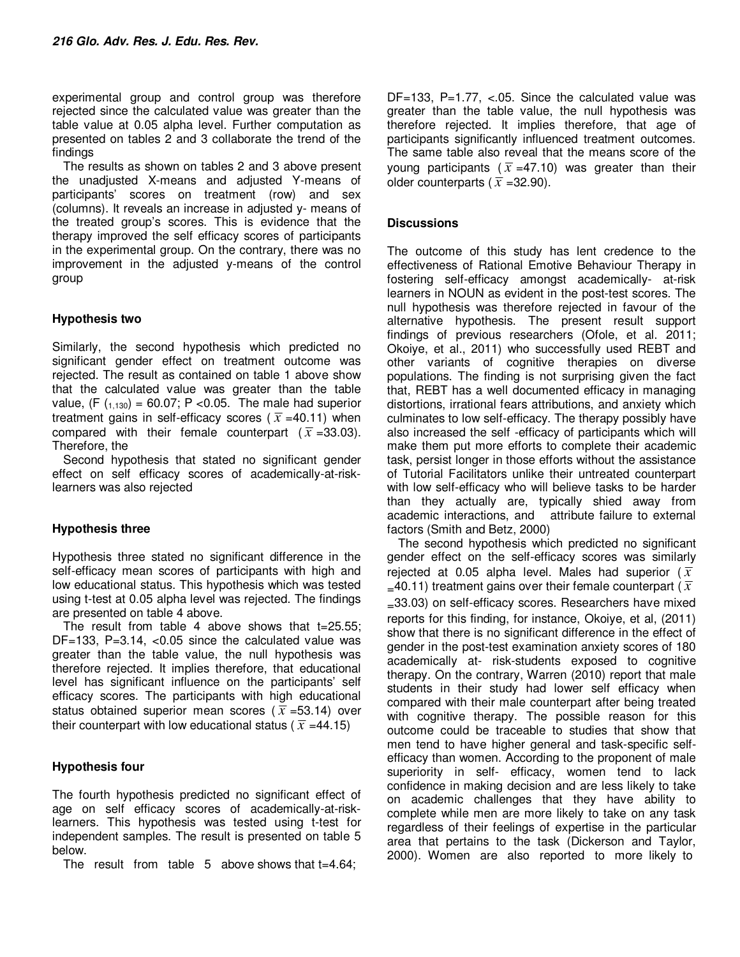experimental group and control group was therefore rejected since the calculated value was greater than the table value at 0.05 alpha level. Further computation as presented on tables 2 and 3 collaborate the trend of the findings

The results as shown on tables 2 and 3 above present the unadjusted X-means and adjusted Y-means of participants' scores on treatment (row) and sex (columns). It reveals an increase in adjusted y- means of the treated group's scores. This is evidence that the therapy improved the self efficacy scores of participants in the experimental group. On the contrary, there was no improvement in the adjusted y-means of the control group

## **Hypothesis two**

Similarly, the second hypothesis which predicted no significant gender effect on treatment outcome was rejected. The result as contained on table 1 above show that the calculated value was greater than the table value,  $(F (1,130) = 60.07; P < 0.05$ . The male had superior treatment gains in self-efficacy scores ( $\bar{x}$  =40.11) when compared with their female counterpart ( $\overline{x}$  =33.03). Therefore, the

Second hypothesis that stated no significant gender effect on self efficacy scores of academically-at-risklearners was also rejected

## **Hypothesis three**

Hypothesis three stated no significant difference in the self-efficacy mean scores of participants with high and low educational status. This hypothesis which was tested using t-test at 0.05 alpha level was rejected. The findings are presented on table 4 above.

The result from table 4 above shows that  $t=25.55$ ; DF=133, P=3.14,  $<0.05$  since the calculated value was greater than the table value, the null hypothesis was therefore rejected. It implies therefore, that educational level has significant influence on the participants' self efficacy scores. The participants with high educational status obtained superior mean scores ( $\bar{x}$  =53.14) over their counterpart with low educational status ( $\bar{x}$  =44.15)

## **Hypothesis four**

The fourth hypothesis predicted no significant effect of age on self efficacy scores of academically-at-risklearners. This hypothesis was tested using t-test for independent samples. The result is presented on table 5 below.

The result from table 5 above shows that t=4.64;

 $DF=133$ ,  $P=1.77$ , <.05. Since the calculated value was greater than the table value, the null hypothesis was therefore rejected. It implies therefore, that age of participants significantly influenced treatment outcomes. The same table also reveal that the means score of the young participants ( $\overline{x}$  =47.10) was greater than their older counterparts ( $\overline{x}$  =32.90).

## **Discussions**

The outcome of this study has lent credence to the effectiveness of Rational Emotive Behaviour Therapy in fostering self-efficacy amongst academically- at-risk learners in NOUN as evident in the post-test scores. The null hypothesis was therefore rejected in favour of the alternative hypothesis. The present result support findings of previous researchers (Ofole, et al. 2011; Okoiye, et al., 2011) who successfully used REBT and other variants of cognitive therapies on diverse populations. The finding is not surprising given the fact that, REBT has a well documented efficacy in managing distortions, irrational fears attributions, and anxiety which culminates to low self-efficacy. The therapy possibly have also increased the self -efficacy of participants which will make them put more efforts to complete their academic task, persist longer in those efforts without the assistance of Tutorial Facilitators unlike their untreated counterpart with low self-efficacy who will believe tasks to be harder than they actually are, typically shied away from academic interactions, and attribute failure to external factors (Smith and Betz, 2000)

The second hypothesis which predicted no significant gender effect on the self-efficacy scores was similarly rejected at 0.05 alpha level. Males had superior ( $\overline{x}$  $=$ 40.11) treatment gains over their female counterpart ( $\overline{x}$ ) =33.03) on self-efficacy scores. Researchers have mixed reports for this finding, for instance, Okoiye, et al, (2011) show that there is no significant difference in the effect of gender in the post-test examination anxiety scores of 180 academically at- risk-students exposed to cognitive therapy. On the contrary, Warren (2010) report that male students in their study had lower self efficacy when compared with their male counterpart after being treated with cognitive therapy. The possible reason for this outcome could be traceable to studies that show that men tend to have higher general and task-specific selfefficacy than women. According to the proponent of male superiority in self- efficacy, women tend to lack confidence in making decision and are less likely to take on academic challenges that they have ability to complete while men are more likely to take on any task regardless of their feelings of expertise in the particular area that pertains to the task (Dickerson and Taylor, 2000). Women are also reported to more likely to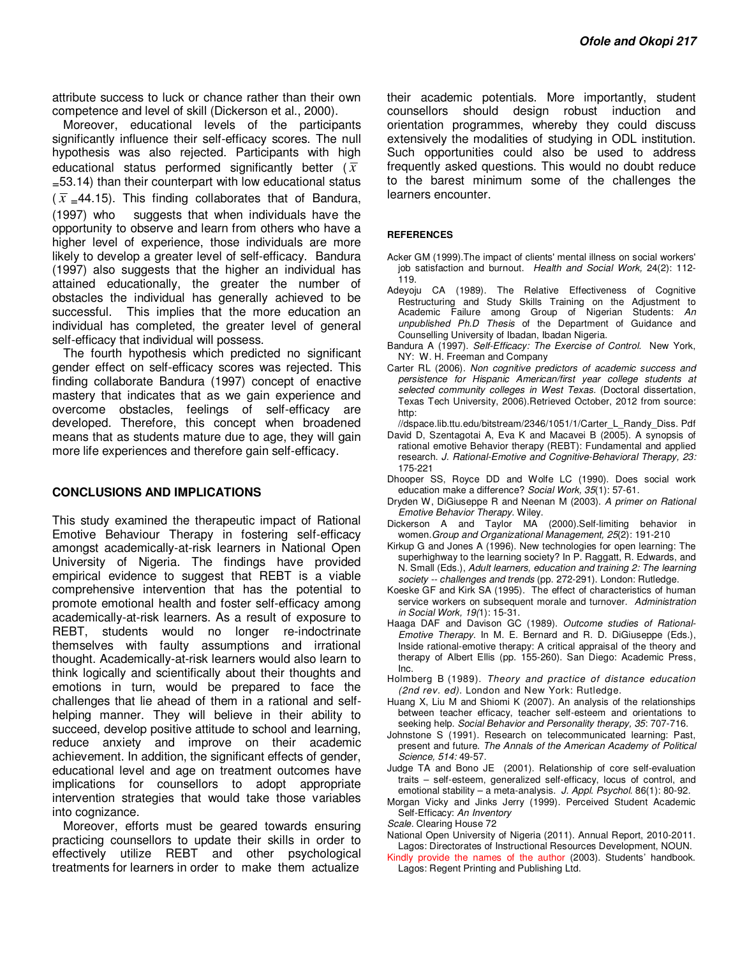attribute success to luck or chance rather than their own competence and level of skill (Dickerson et al., 2000).

Moreover, educational levels of the participants significantly influence their self-efficacy scores. The null hypothesis was also rejected. Participants with high educational status performed significantly better  $(\bar{x})$  $=$  53.14) than their counterpart with low educational status  $(\bar{x} = 44.15)$ . This finding collaborates that of Bandura, (1997) who suggests that when individuals have the opportunity to observe and learn from others who have a higher level of experience, those individuals are more likely to develop a greater level of self-efficacy. Bandura (1997) also suggests that the higher an individual has attained educationally, the greater the number of obstacles the individual has generally achieved to be successful. This implies that the more education an individual has completed, the greater level of general self-efficacy that individual will possess.

The fourth hypothesis which predicted no significant gender effect on self-efficacy scores was rejected. This finding collaborate Bandura (1997) concept of enactive mastery that indicates that as we gain experience and overcome obstacles, feelings of self-efficacy are developed. Therefore, this concept when broadened means that as students mature due to age, they will gain more life experiences and therefore gain self-efficacy.

#### **CONCLUSIONS AND IMPLICATIONS**

This study examined the therapeutic impact of Rational Emotive Behaviour Therapy in fostering self-efficacy amongst academically-at-risk learners in National Open University of Nigeria. The findings have provided empirical evidence to suggest that REBT is a viable comprehensive intervention that has the potential to promote emotional health and foster self-efficacy among academically-at-risk learners. As a result of exposure to REBT, students would no longer re-indoctrinate themselves with faulty assumptions and irrational thought. Academically-at-risk learners would also learn to think logically and scientifically about their thoughts and emotions in turn, would be prepared to face the challenges that lie ahead of them in a rational and selfhelping manner. They will believe in their ability to succeed, develop positive attitude to school and learning, reduce anxiety and improve on their academic achievement. In addition, the significant effects of gender, educational level and age on treatment outcomes have implications for counsellors to adopt appropriate intervention strategies that would take those variables into cognizance.

Moreover, efforts must be geared towards ensuring practicing counsellors to update their skills in order to effectively utilize REBT and other psychological treatments for learners in order to make them actualize

their academic potentials. More importantly, student counsellors should design robust induction and orientation programmes, whereby they could discuss extensively the modalities of studying in ODL institution. Such opportunities could also be used to address frequently asked questions. This would no doubt reduce to the barest minimum some of the challenges the learners encounter.

#### **REFERENCES**

- Acker GM (1999).The impact of clients' mental illness on social workers' job satisfaction and burnout. *Health and Social Work,* 24(2): 112- 119.
- Adeyoju CA (1989). The Relative Effectiveness of Cognitive Restructuring and Study Skills Training on the Adjustment to Academic Failure among Group of Nigerian Students: *An unpublished Ph.D Thesis* of the Department of Guidance and Counselling University of Ibadan, Ibadan Nigeria.
- Bandura A (1997). *Self-Efficacy: The Exercise of Control*. New York, NY: W. H. Freeman and Company
- Carter RL (2006). *Non cognitive predictors of academic success and persistence for Hispanic American/first year college students at selected community colleges in West Texas.* (Doctoral dissertation, Texas Tech University, 2006).Retrieved October, 2012 from source: http:

//dspace.lib.ttu.edu/bitstream/2346/1051/1/Carter\_L\_Randy\_Diss. Pdf

- David D, Szentagotai A, Eva K and Macavei B (2005). A synopsis of rational emotive Behavior therapy (REBT): Fundamental and applied research. *J. Rational-Emotive and Cognitive-Behavioral Therapy, 23:*  175-221
- Dhooper SS, Royce DD and Wolfe LC (1990). Does social work education make a difference? *Social Work, 35*(1): 57-61.
- Dryden W, DiGiuseppe R and Neenan M (2003). *A primer on Rational Emotive Behavior Therapy*. Wiley.
- Dickerson A and Taylor MA (2000).Self-limiting behavior in women.*Group and Organizational Management, 25*(2): 191-210
- Kirkup G and Jones A (1996). New technologies for open learning: The superhighway to the learning society? In P. Raggatt, R. Edwards, and N. Small (Eds.), *Adult learners, education and training 2: The learning society -- challenges and trends* (pp. 272-291). London: Rutledge.
- Koeske GF and Kirk SA (1995). The effect of characteristics of human service workers on subsequent morale and turnover. *Administration in Social Work, 19(*1): 15-31.
- Haaga DAF and Davison GC (1989). *Outcome studies of Rational-Emotive Therapy*. In M. E. Bernard and R. D. DiGiuseppe (Eds.), Inside rational-emotive therapy: A critical appraisal of the theory and therapy of Albert Ellis (pp. 155-260). San Diego: Academic Press, Inc.
- Holmberg B (1989). *Theory and practice of distance education (2nd rev. ed)*. London and New York: Rutledge.
- Huang X, Liu M and Shiomi K (2007). An analysis of the relationships between teacher efficacy, teacher self-esteem and orientations to seeking help. *Social Behavior and Personality therapy, 35*: 707-716.
- Johnstone S (1991). Research on telecommunicated learning: Past, present and future. *The Annals of the American Academy of Political Science, 514:* 49-57.
- Judge TA and Bono JE (2001). Relationship of core self-evaluation traits – self-esteem, generalized self-efficacy, locus of control, and emotional stability – a meta-analysis. *J. Appl. Psychol.* 86(1): 80-92.
- Morgan Vicky and Jinks Jerry (1999). Perceived Student Academic Self-Efficacy: *An Inventory*

*Scale.* Clearing House 72

National Open University of Nigeria (2011). Annual Report, 2010-2011. Lagos: Directorates of Instructional Resources Development, NOUN.

Kindly provide the names of the author (2003). Students' handbook. Lagos: Regent Printing and Publishing Ltd.